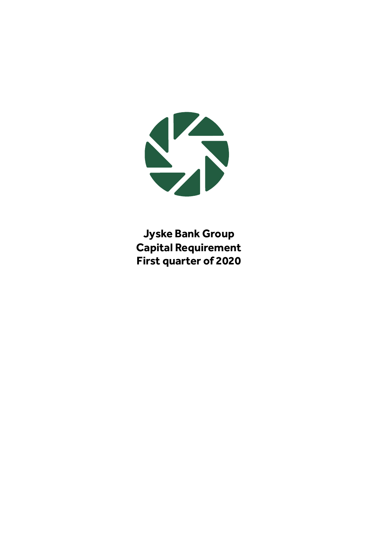

**Jyske Bank Group Capital Requirement First quarter of 2020**